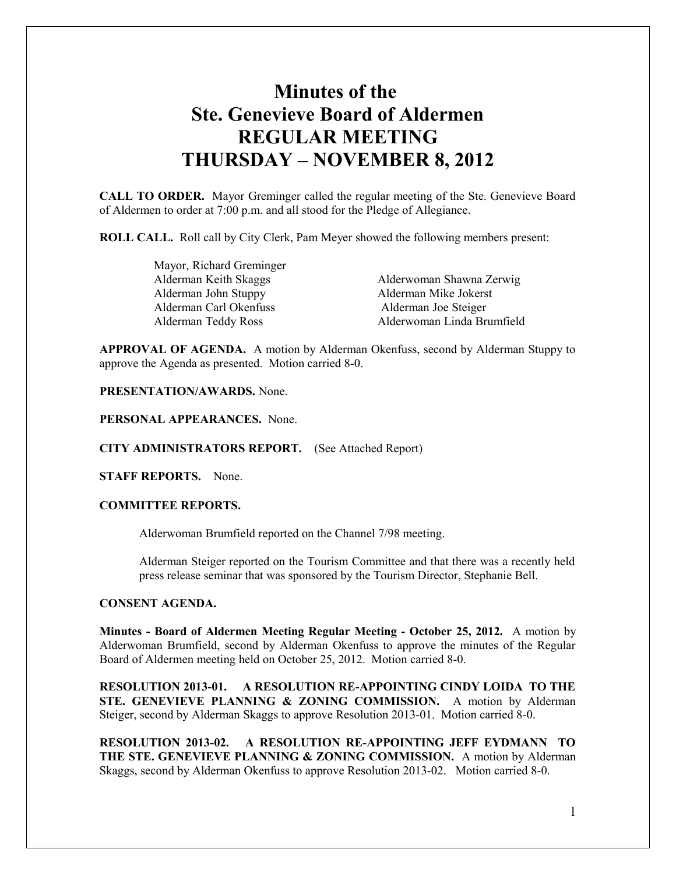# **Minutes of the Ste. Genevieve Board of Aldermen REGULAR MEETING THURSDAY – NOVEMBER 8, 2012**

**CALL TO ORDER.** Mayor Greminger called the regular meeting of the Ste. Genevieve Board of Aldermen to order at 7:00 p.m. and all stood for the Pledge of Allegiance.

**ROLL CALL.** Roll call by City Clerk, Pam Meyer showed the following members present:

 Mayor, Richard Greminger Alderman Keith Skaggs Alderwoman Shawna Zerwig Alderman John Stuppy Alderman Mike Jokerst Alderman Carl Okenfuss Alderman Joe Steiger Alderman Teddy Ross Alderwoman Linda Brumfield

**APPROVAL OF AGENDA.** A motion by Alderman Okenfuss, second by Alderman Stuppy to approve the Agenda as presented. Motion carried 8-0.

**PRESENTATION/AWARDS.** None.

**PERSONAL APPEARANCES.** None.

**CITY ADMINISTRATORS REPORT.** (See Attached Report)

**STAFF REPORTS.** None.

## **COMMITTEE REPORTS.**

Alderwoman Brumfield reported on the Channel 7/98 meeting.

Alderman Steiger reported on the Tourism Committee and that there was a recently held press release seminar that was sponsored by the Tourism Director, Stephanie Bell.

## **CONSENT AGENDA.**

**Minutes - Board of Aldermen Meeting Regular Meeting - October 25, 2012.** A motion by Alderwoman Brumfield, second by Alderman Okenfuss to approve the minutes of the Regular Board of Aldermen meeting held on October 25, 2012. Motion carried 8-0.

**RESOLUTION 2013-01. A RESOLUTION RE-APPOINTING CINDY LOIDA TO THE STE. GENEVIEVE PLANNING & ZONING COMMISSION.** A motion by Alderman Steiger, second by Alderman Skaggs to approve Resolution 2013-01. Motion carried 8-0.

**RESOLUTION 2013-02. A RESOLUTION RE-APPOINTING JEFF EYDMANN TO THE STE. GENEVIEVE PLANNING & ZONING COMMISSION.** A motion by Alderman Skaggs, second by Alderman Okenfuss to approve Resolution 2013-02. Motion carried 8-0.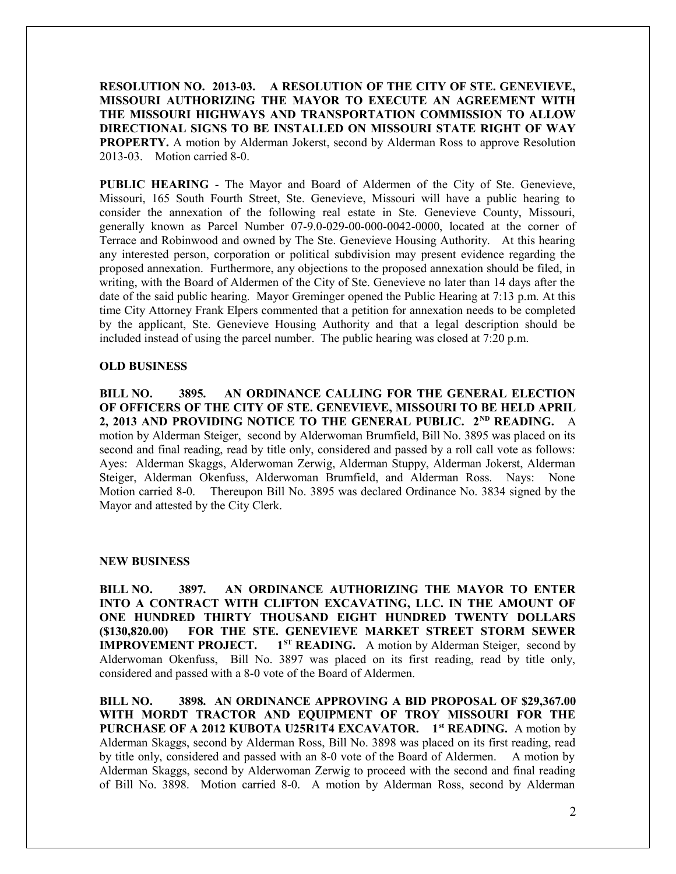**RESOLUTION NO. 2013-03. A RESOLUTION OF THE CITY OF STE. GENEVIEVE, MISSOURI AUTHORIZING THE MAYOR TO EXECUTE AN AGREEMENT WITH THE MISSOURI HIGHWAYS AND TRANSPORTATION COMMISSION TO ALLOW DIRECTIONAL SIGNS TO BE INSTALLED ON MISSOURI STATE RIGHT OF WAY PROPERTY.** A motion by Alderman Jokerst, second by Alderman Ross to approve Resolution 2013-03. Motion carried 8-0.

**PUBLIC HEARING** - The Mayor and Board of Aldermen of the City of Ste. Genevieve, Missouri, 165 South Fourth Street, Ste. Genevieve, Missouri will have a public hearing to consider the annexation of the following real estate in Ste. Genevieve County, Missouri, generally known as Parcel Number 07-9.0-029-00-000-0042-0000, located at the corner of Terrace and Robinwood and owned by The Ste. Genevieve Housing Authority. At this hearing any interested person, corporation or political subdivision may present evidence regarding the proposed annexation. Furthermore, any objections to the proposed annexation should be filed, in writing, with the Board of Aldermen of the City of Ste. Genevieve no later than 14 days after the date of the said public hearing. Mayor Greminger opened the Public Hearing at 7:13 p.m. At this time City Attorney Frank Elpers commented that a petition for annexation needs to be completed by the applicant, Ste. Genevieve Housing Authority and that a legal description should be included instead of using the parcel number. The public hearing was closed at 7:20 p.m.

## **OLD BUSINESS**

**BILL NO. 3895. AN ORDINANCE CALLING FOR THE GENERAL ELECTION OF OFFICERS OF THE CITY OF STE. GENEVIEVE, MISSOURI TO BE HELD APRIL 2, 2013 AND PROVIDING NOTICE TO THE GENERAL PUBLIC. 2ND READING.** A motion by Alderman Steiger, second by Alderwoman Brumfield, Bill No. 3895 was placed on its second and final reading, read by title only, considered and passed by a roll call vote as follows: Ayes: Alderman Skaggs, Alderwoman Zerwig, Alderman Stuppy, Alderman Jokerst, Alderman Steiger, Alderman Okenfuss, Alderwoman Brumfield, and Alderman Ross. Nays: None Motion carried 8-0. Thereupon Bill No. 3895 was declared Ordinance No. 3834 signed by the Mayor and attested by the City Clerk.

#### **NEW BUSINESS**

**BILL NO. 3897. AN ORDINANCE AUTHORIZING THE MAYOR TO ENTER INTO A CONTRACT WITH CLIFTON EXCAVATING, LLC. IN THE AMOUNT OF ONE HUNDRED THIRTY THOUSAND EIGHT HUNDRED TWENTY DOLLARS (\$130,820.00) FOR THE STE. GENEVIEVE MARKET STREET STORM SEWER IMPROVEMENT PROJECT.** 1<sup>*ST*</sup> **READING.** A motion by Alderman Steiger, second by Alderwoman Okenfuss, Bill No. 3897 was placed on its first reading, read by title only, considered and passed with a 8-0 vote of the Board of Aldermen.

**BILL NO. 3898. AN ORDINANCE APPROVING A BID PROPOSAL OF \$29,367.00 WITH MORDT TRACTOR AND EQUIPMENT OF TROY MISSOURI FOR THE PURCHASE OF A 2012 KUBOTA U25R1T4 EXCAVATOR. 1st READING.** A motion by Alderman Skaggs, second by Alderman Ross, Bill No. 3898 was placed on its first reading, read by title only, considered and passed with an 8-0 vote of the Board of Aldermen. A motion by Alderman Skaggs, second by Alderwoman Zerwig to proceed with the second and final reading of Bill No. 3898. Motion carried 8-0. A motion by Alderman Ross, second by Alderman